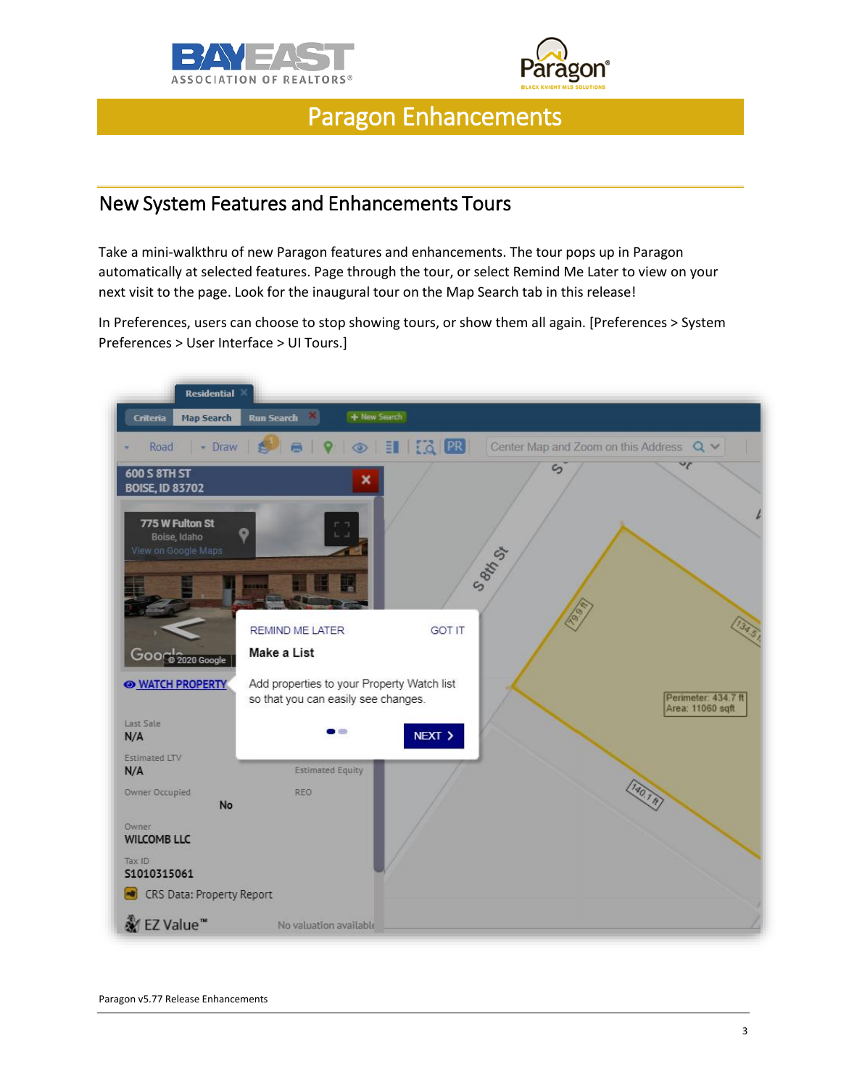



# Paragon Enhancements

#### New System Features and Enhancements Tours

Take a mini-walkthru of new Paragon features and enhancements. The tour pops up in Paragon automatically at selected features. Page through the tour, or select Remind Me Later to view on your next visit to the page. Look for the inaugural tour on the Map Search tab in this release!

In Preferences, users can choose to stop showing tours, or show them all again. [Preferences > System Preferences > User Interface > UI Tours.]

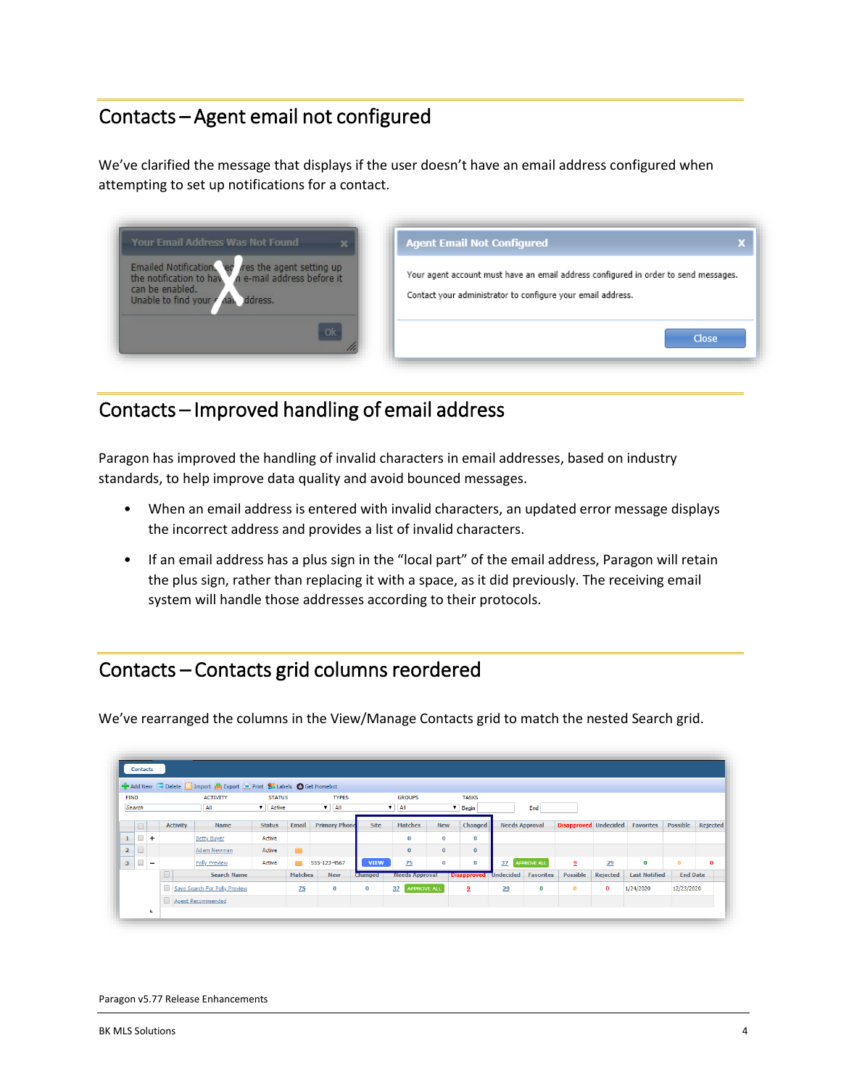## Contacts – Agent email not configured

We've clarified the message that displays if the user doesn't have an email address configured when attempting to set up notifications for a contact.

| <b>Your Email Address Was Not Found</b>                                                                                                                               | <b>Agent Email Not Configured</b>                                                                                                                  |
|-----------------------------------------------------------------------------------------------------------------------------------------------------------------------|----------------------------------------------------------------------------------------------------------------------------------------------------|
| Emailed Notification. $\frac{1}{2}$ res the agent setting up the notification to have n e-mail address before it<br>can be enabled.<br>Unable to find your<br>ddress. | Your agent account must have an email address configured in order to send messages.<br>Contact your administrator to configure your email address. |
| Ok                                                                                                                                                                    | Close                                                                                                                                              |

#### Contacts – Improved handling of email address

Paragon has improved the handling of invalid characters in email addresses, based on industry standards, to help improve data quality and avoid bounced messages.

- When an email address is entered with invalid characters, an updated error message displays the incorrect address and provides a list of invalid characters.
- If an email address has a plus sign in the "local part" of the email address, Paragon will retain the plus sign, rather than replacing it with a space, as it did previously. The receiving email system will handle those addresses according to their protocols.

#### Contacts – Contacts grid columns reordered

We've rearranged the columns in the View/Manage Contacts grid to match the nested Search grid.

| <b>FIND</b>          |                          |  |                               | Add New G Delete D Import <b>M</b> Export <b>D</b> Print 83 Labels C Get Homebot |              |               |                          |                       |                      |                              |                          |                  |                    |          |                       |                              |          |                  |                 |          |
|----------------------|--------------------------|--|-------------------------------|----------------------------------------------------------------------------------|--------------|---------------|--------------------------|-----------------------|----------------------|------------------------------|--------------------------|------------------|--------------------|----------|-----------------------|------------------------------|----------|------------------|-----------------|----------|
|                      |                          |  |                               | <b>ACTIVITY</b>                                                                  |              | <b>STATUS</b> |                          |                       | <b>TYPES</b>         |                              | <b>GROUPS</b>            |                  | <b>TASKS</b>       |          |                       |                              |          |                  |                 |          |
| Search               |                          |  |                               | All                                                                              | $\mathbf{v}$ | Active        |                          | $\mathbf{v}$          | All                  |                              | All<br>$\mathbf{v}$      |                  | $\mathbf{v}$ Begin |          | End                   |                              |          |                  |                 |          |
| $\qquad \qquad \Box$ |                          |  | <b>Activity</b>               | Name                                                                             |              | <b>Status</b> | Email                    |                       | <b>Primary Phone</b> | Site                         | <b>Matches</b>           | <b>New</b>       | Changed            |          | <b>Needs Approval</b> | <b>Disapproved</b> Undecided |          | <b>Favorites</b> | <b>Possible</b> | Rejected |
| 1                    | $+$                      |  |                               | <b>Betty Buyer</b>                                                               |              | Active        |                          |                       |                      |                              | 0                        | $\bf{0}$         | 0                  |          |                       |                              |          |                  |                 |          |
| $\overline{2}$       |                          |  |                               | Adam Newman                                                                      |              | Active        | $\overline{\phantom{a}}$ |                       |                      |                              | $\bf{0}$                 | $\mathbf 0$      | $\bf{0}$           |          |                       |                              |          |                  |                 |          |
| 3 <sup>1</sup>       | $\overline{\phantom{a}}$ |  |                               | <b>Polly Preview</b>                                                             |              | Active        |                          | 555-123-4567          |                      | <b>VIEW</b>                  | 75                       | $\bf{0}$         | $\bf{0}$           | 37       | <b>APPROVE ALL</b>    | 2                            | 29       | $\bf{0}$         | $\bf{0}$        | $\bf{0}$ |
| <b>Search Name</b>   |                          |  |                               | <b>Matches</b>                                                                   |              | <b>New</b>    | <b>Changed</b>           | <b>Needs Approval</b> |                      | <b>Disapproved</b> Undecided |                          | <b>Favorites</b> | <b>Possible</b>    | Rejected | <b>Last Notified</b>  | <b>End Date</b>              |          |                  |                 |          |
|                      |                          |  | Save Search For Polly Preview |                                                                                  |              |               | 75                       |                       | 0                    | $\bf{0}$                     | <b>APPROVE ALL</b><br>37 |                  | 2                  | 29       | 0                     | $\mathbf{0}$                 | $\bf{0}$ | 1/24/2020        | 12/23/2020      |          |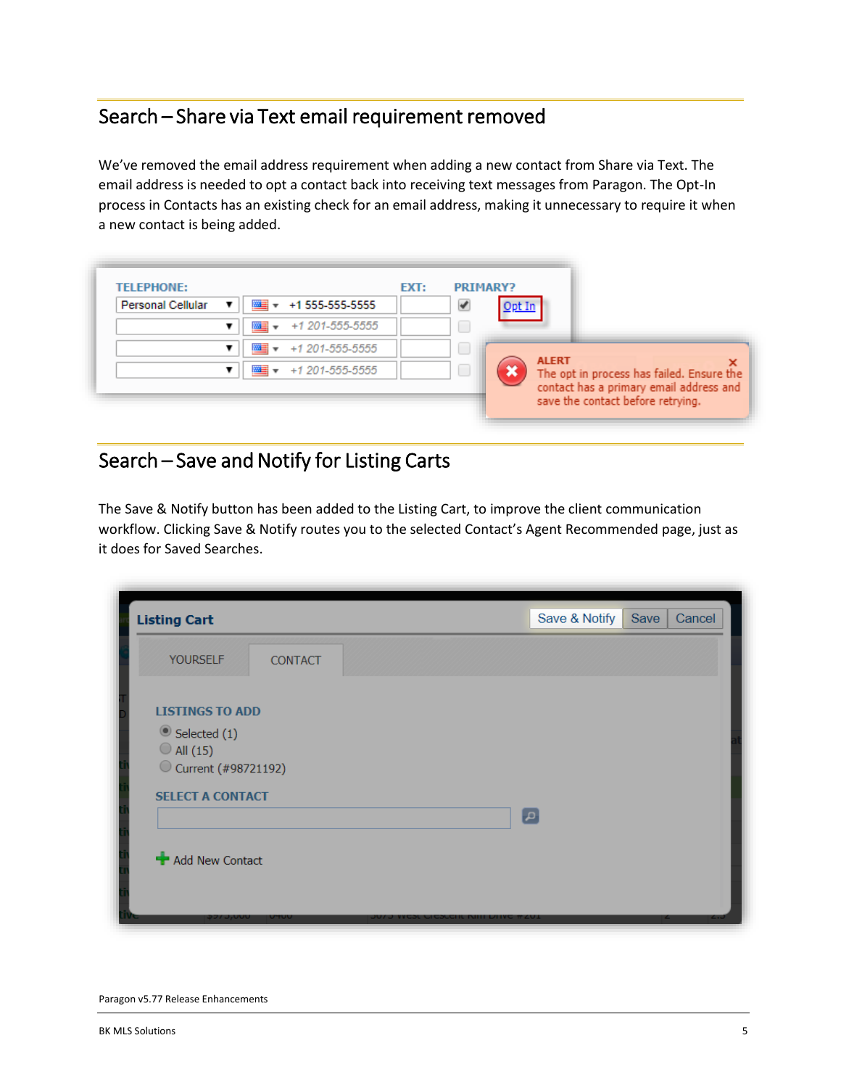### Search – Share via Text email requirement removed

We've removed the email address requirement when adding a new contact from Share via Text. The email address is needed to opt a contact back into receiving text messages from Paragon. The Opt-In process in Contacts has an existing check for an email address, making it unnecessary to require it when a new contact is being added.

| <b>TELEPHONE:</b>        |                 | EXT: | <b>PRIMARY?</b> |              |                                                                                      |
|--------------------------|-----------------|------|-----------------|--------------|--------------------------------------------------------------------------------------|
| <b>Personal Cellular</b> | +1 555-555-5555 |      |                 |              |                                                                                      |
|                          | +1 201-555-5555 |      |                 |              |                                                                                      |
|                          | +1 201-555-5555 |      |                 |              |                                                                                      |
|                          | +1 201-555-5555 |      |                 | <b>ALERT</b> |                                                                                      |
|                          |                 |      |                 |              | The opt in process has failed. Ensure the<br>contact has a primary email address and |

## Search – Save and Notify for Listing Carts

The Save & Notify button has been added to the Listing Cart, to improve the client communication workflow. Clicking Save & Notify routes you to the selected Contact's Agent Recommended page, just as it does for Saved Searches.

| <b>Listing Cart</b>                                                                                               | Save & Notify<br>Cancel<br>Save     |
|-------------------------------------------------------------------------------------------------------------------|-------------------------------------|
| <b>YOURSELF</b><br><b>CONTACT</b>                                                                                 |                                     |
| <b>LISTINGS TO ADD</b><br>Selected (1)<br>$\bigcirc$ All (15)<br>C Current (#98721192)<br><b>SELECT A CONTACT</b> | $\lbrack \mathfrak{a} \rbrack$      |
| Add New Contact                                                                                                   |                                     |
| アフノ しりいい<br>טדע                                                                                                   | דטא אינא ווווח ואסארא איז גיעט<br>ے |